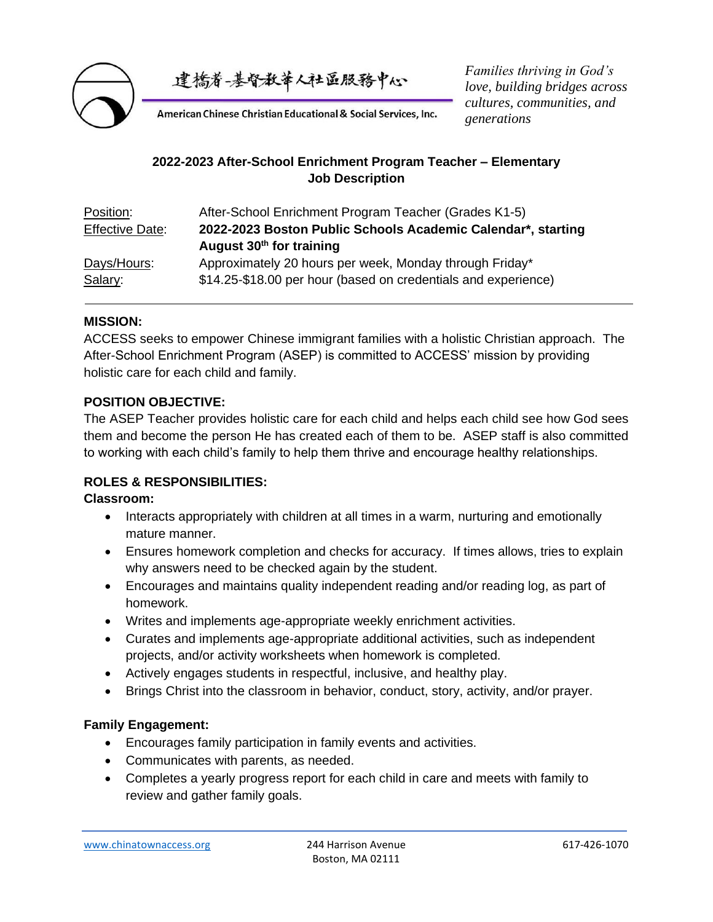

建橋脊-基督教華人社區服務中心

*Families thriving in God's love, building bridges across cultures, communities, and generations*

American Chinese Christian Educational & Social Services, Inc.

# **2022-2023 After-School Enrichment Program Teacher – Elementary Job Description**

| After-School Enrichment Program Teacher (Grades K1-5)          |
|----------------------------------------------------------------|
| 2022-2023 Boston Public Schools Academic Calendar*, starting   |
| August 30 <sup>th</sup> for training                           |
| Approximately 20 hours per week, Monday through Friday*        |
| \$14.25-\$18.00 per hour (based on credentials and experience) |
|                                                                |

### **MISSION:**

ACCESS seeks to empower Chinese immigrant families with a holistic Christian approach. The After-School Enrichment Program (ASEP) is committed to ACCESS' mission by providing holistic care for each child and family.

### **POSITION OBJECTIVE:**

The ASEP Teacher provides holistic care for each child and helps each child see how God sees them and become the person He has created each of them to be. ASEP staff is also committed to working with each child's family to help them thrive and encourage healthy relationships.

### **ROLES & RESPONSIBILITIES:**

#### **Classroom:**

- Interacts appropriately with children at all times in a warm, nurturing and emotionally mature manner.
- Ensures homework completion and checks for accuracy. If times allows, tries to explain why answers need to be checked again by the student.
- Encourages and maintains quality independent reading and/or reading log, as part of homework.
- Writes and implements age-appropriate weekly enrichment activities.
- Curates and implements age-appropriate additional activities, such as independent projects, and/or activity worksheets when homework is completed.
- Actively engages students in respectful, inclusive, and healthy play.
- Brings Christ into the classroom in behavior, conduct, story, activity, and/or prayer.

### **Family Engagement:**

- Encourages family participation in family events and activities.
- Communicates with parents, as needed.
- Completes a yearly progress report for each child in care and meets with family to review and gather family goals.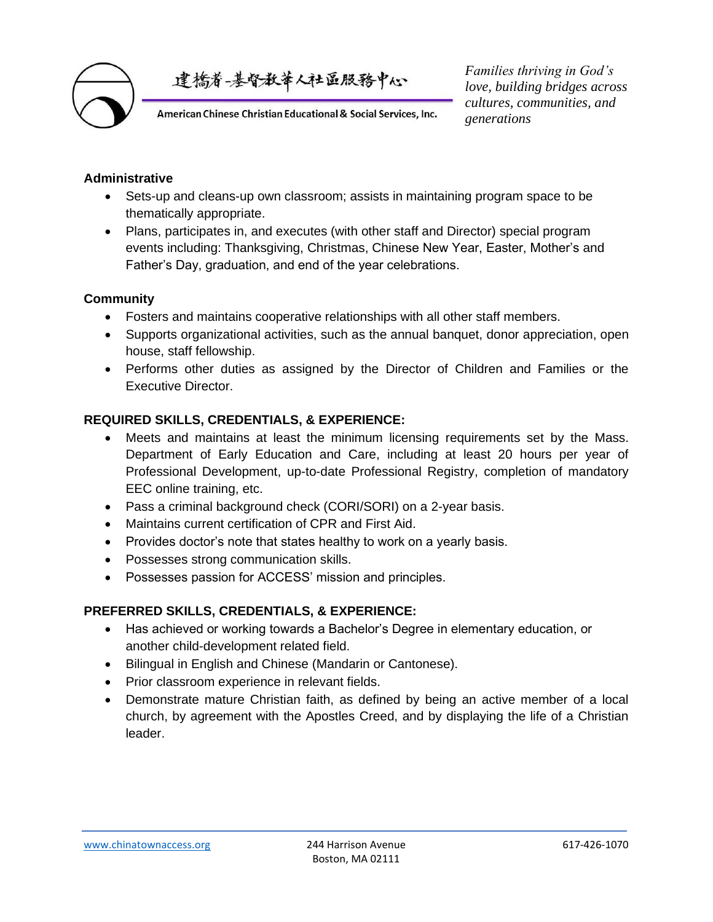

建橋脊-基督教華人社區服務中心

American Chinese Christian Educational & Social Services, Inc.

*Families thriving in God's love, building bridges across cultures, communities, and generations*

#### **Administrative**

- Sets-up and cleans-up own classroom; assists in maintaining program space to be thematically appropriate.
- Plans, participates in, and executes (with other staff and Director) special program events including: Thanksgiving, Christmas, Chinese New Year, Easter, Mother's and Father's Day, graduation, and end of the year celebrations.

### **Community**

- Fosters and maintains cooperative relationships with all other staff members.
- Supports organizational activities, such as the annual banquet, donor appreciation, open house, staff fellowship.
- Performs other duties as assigned by the Director of Children and Families or the Executive Director.

### **REQUIRED SKILLS, CREDENTIALS, & EXPERIENCE:**

- Meets and maintains at least the minimum licensing requirements set by the Mass. Department of Early Education and Care, including at least 20 hours per year of Professional Development, up-to-date Professional Registry, completion of mandatory EEC online training, etc.
- Pass a criminal background check (CORI/SORI) on a 2-year basis.
- Maintains current certification of CPR and First Aid.
- Provides doctor's note that states healthy to work on a yearly basis.
- Possesses strong communication skills.
- Possesses passion for ACCESS' mission and principles.

### **PREFERRED SKILLS, CREDENTIALS, & EXPERIENCE:**

- Has achieved or working towards a Bachelor's Degree in elementary education, or another child-development related field.
- Bilingual in English and Chinese (Mandarin or Cantonese).
- Prior classroom experience in relevant fields.
- Demonstrate mature Christian faith, as defined by being an active member of a local church, by agreement with the Apostles Creed, and by displaying the life of a Christian leader.